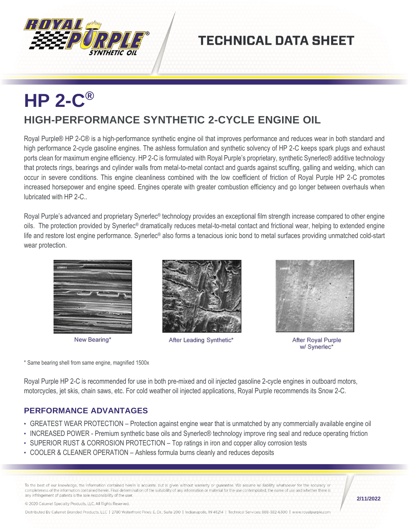

## **TECHNICAL DATA SHEET**

## **HP 2-C ® HIGH-PERFORMANCE SYNTHETIC 2-CYCLE ENGINE OIL**

Royal Purple® HP 2-C® is a high-performance synthetic engine oil that improves performance and reduces wear in both standard and high performance 2-cycle gasoline engines. The ashless formulation and synthetic solvency of HP 2-C keeps spark plugs and exhaust ports clean for maximum engine efficiency. HP 2-C is formulated with Royal Purple's proprietary, synthetic Synerlec® additive technology that protects rings, bearings and cylinder walls from metal-to-metal contact and guards against scuffing, galling and welding, which can occur in severe conditions. This engine cleanliness combined with the low coefficient of friction of Royal Purple HP 2-C promotes increased horsepower and engine speed. Engines operate with greater combustion efficiency and go longer between overhauls when lubricated with HP 2-C..

Royal Purple's advanced and proprietary Synerlec<sup>®</sup> technology provides an exceptional film strength increase compared to other engine oils. The protection provided by Synerlec® dramatically reduces metal-to-metal contact and frictional wear, helping to extended engine life and restore lost engine performance. Synerlec® also forms a tenacious ionic bond to metal surfaces providing unmatched cold-start wear protection.

New Bearing\*



After Leading Synthetic\*



After Royal Purple w/ Synerlec\*

\* Same bearing shell from same engine, magnified 1500x

Royal Purple HP 2-C is recommended for use in both pre-mixed and oil injected gasoline 2-cycle engines in outboard motors, motorcycles, jet skis, chain saws, etc. For cold weather oil injected applications, Royal Purple recommends its Snow 2-C.

## **PERFORMANCE ADVANTAGES**

- GREATEST WEAR PROTECTION Protection against engine wear that is unmatched by any commercially available engine oil
- INCREASED POWER Premium synthetic base oils and Synerlec® technology improve ring seal and reduce operating friction
- SUPERIOR RUST & CORROSION PROTECTION Top ratings in iron and copper alloy corrosion tests
- COOLER & CLEANER OPERATION Ashless formula burns cleanly and reduces deposits

To the best of our knowledge, the information contained herein is accurate, but is given without warranty or guarantee. We assume no liability whatsoever for the accuracy or completeness of the information contained herein. Final determination of the suitability of any information or material for the use contemplated, the name of use and whether there is any infringement of patents is the sole responsibility of the user.

**2/11/2022**

© 2020 Calumet Specialty Products, LLC, All Rights Reserved.

Distributed By Calumet Branded Products, LLC | 2780 Waterfront Pkwy. E. Dr., Suite 200 | Indianapolis, IN 46214 | Technical Services: 888-382-6300 | www.royalpurple.com